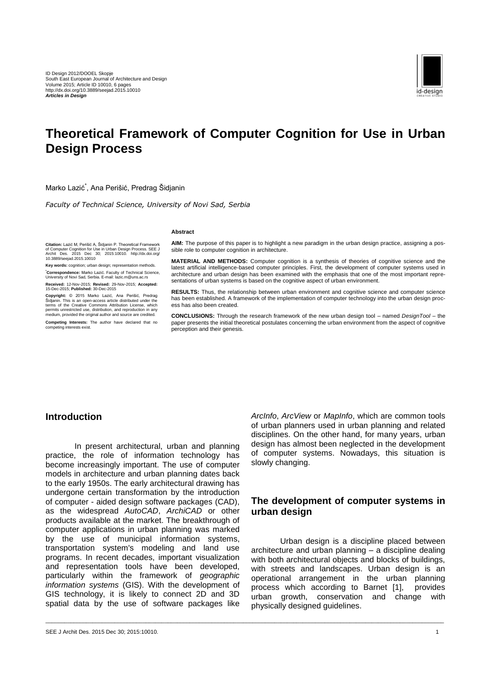

# **Theoretical Framework of Computer Cognition for Use in Urban Design Process**

\_\_\_\_\_\_\_\_\_\_\_\_\_\_\_\_\_\_\_\_\_\_\_\_\_\_\_\_\_\_\_\_\_\_\_\_\_\_\_\_\_\_\_\_\_\_\_\_\_\_\_\_\_\_\_\_\_\_\_\_\_\_\_\_\_\_\_\_\_\_\_\_\_\_\_\_\_\_\_\_\_\_\_\_\_\_\_\_\_\_\_\_\_\_\_\_\_\_\_\_\_\_\_\_\_\_\_\_\_\_\_\_\_\_\_\_\_\_\_\_\_\_\_\_\_\_\_

Marko Lazić\* , Ana Perišić, Predrag Šidjanin

*Faculty of Technical Science, University of Novi Sad, Serbia*

#### **Abstract**

**Citation:** Lazić M, Perišić A, Sidjanin P. Theoretical Framework<br>of Computer Cognition for Use in Urban Design Process. SEE J<br>Archit Des. 2015 Dec 30; 2015:10010. http://dx.doi.org/<br>10.3889/seejad.2015.10010

**Key words: cognition: urban design: representation methods. \*Correspondence:** Marko Lazić. Faculty of Technical Science, University of Novi Sad, Serbia. E-mail: lazic.m@uns.ac.rs

**Received:** 12-Nov-2015; **Revised:** 29-Nov-2015; **Accepted:** 15-Dec-2015; **Published:** 30-Dec-2015

**Copyright:** © 2015 Marko Lazić, Ana Perišić, Predrag Šidjanin. This is an open-access article distributed under the terms of the Creative Commons Attribution License, which permits unrestricted use, distribution, and reproduction in any medium, provided the original author and source are credited.

**Competing Interests:** The author have declared that no competing interests exist.

**AIM:** The purpose of this paper is to highlight a new paradigm in the urban design practice, assigning a possible role to computer cognition in architecture.

**MATERIAL AND METHODS:** Computer cognition is a synthesis of theories of cognitive science and the latest artificial intelligence-based computer principles. First, the development of computer systems used in architecture and urban design has been examined with the emphasis that one of the most important representations of urban systems is based on the cognitive aspect of urban environment.

**RESULTS:** Thus, the relationship between urban environment and cognitive science and computer science has been established. A framework of the implementation of computer technology into the urban design process has also been created.

**CONCLUSIONS:** Through the research framework of the new urban design tool – named *DesignTool* – the paper presents the initial theoretical postulates concerning the urban environment from the aspect of cognitive perception and their genesis.

#### **Introduction**

In present architectural, urban and planning practice, the role of information technology has become increasingly important. The use of computer models in architecture and urban planning dates back to the early 1950s. The early architectural drawing has undergone certain transformation by the introduction of computer - aided design software packages (CAD), as the widespread *AutoCAD*, *ArchiCAD* or other products available at the market. The breakthrough of computer applications in urban planning was marked by the use of municipal information systems, transportation system's modeling and land use programs. In recent decades, important visualization and representation tools have been developed, particularly within the framework of *geographic information systems* (GIS). With the development of GIS technology, it is likely to connect 2D and 3D spatial data by the use of software packages like

*ArcInfo*, *ArcView* or *MapInfo*, which are common tools of urban planners used in urban planning and related disciplines. On the other hand, for many years, urban design has almost been neglected in the development of computer systems. Nowadays, this situation is slowly changing.

#### **The development of computer systems in urban design**

Urban design is a discipline placed between architecture and urban planning – a discipline dealing with both architectural objects and blocks of buildings, with streets and landscapes. Urban design is an operational arrangement in the urban planning process which according to Barnet [1], provides urban growth, conservation and change with physically designed guidelines.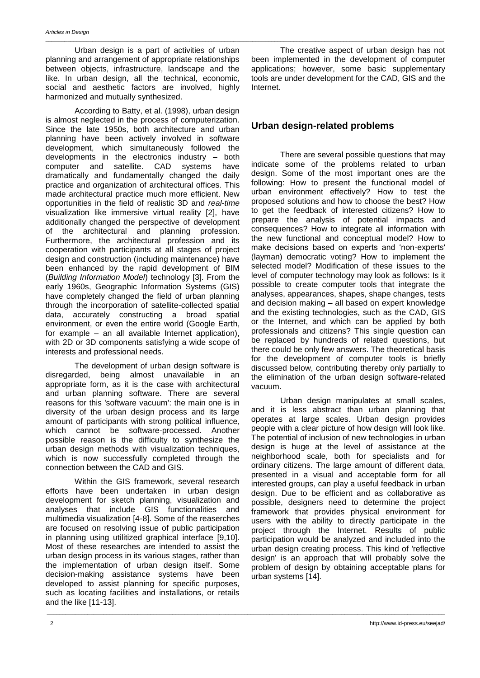Urban design is a part of activities of urban planning and arrangement of appropriate relationships between objects, infrastructure, landscape and the like. In urban design, all the technical, economic, social and aesthetic factors are involved, highly harmonized and mutually synthesized.

According to Batty, et al. (1998), urban design is almost neglected in the process of computerization. Since the late 1950s, both architecture and urban planning have been actively involved in software development, which simultaneously followed the developments in the electronics industry – both<br>computer and satellite. CAD systems have computer and satellite. CAD dramatically and fundamentally changed the daily practice and organization of architectural offices. This made architectural practice much more efficient. New opportunities in the field of realistic 3D and *real-time*  visualization like immersive virtual reality [2], have additionally changed the perspective of development of the architectural and planning profession. Furthermore, the architectural profession and its cooperation with participants at all stages of project design and construction (including maintenance) have been enhanced by the rapid development of BIM (*Building Information Model*) technology [3]. From the early 1960s, Geographic Information Systems (GIS) have completely changed the field of urban planning through the incorporation of satellite-collected spatial data, accurately constructing a broad spatial environment, or even the entire world (Google Earth, for example – an all available Internet application), with 2D or 3D components satisfying a wide scope of interests and professional needs.

The development of urban design software is disregarded, being almost unavailable in an appropriate form, as it is the case with architectural and urban planning software. There are several reasons for this 'software vacuum': the main one is in diversity of the urban design process and its large amount of participants with strong political influence, which cannot be software-processed. Another possible reason is the difficulty to synthesize the urban design methods with visualization techniques, which is now successfully completed through the connection between the CAD and GIS.

Within the GIS framework, several research efforts have been undertaken in urban design development for sketch planning, visualization and analyses that include GIS functionalities and multimedia visualization [4-8]. Some of the reaserches are focused on resolving issue of public participation in planning using utilitized graphical interface [9,10]. Most of these researches are intended to assist the urban design process in its various stages, rather than the implementation of urban design itself. Some decision-making assistance systems have been developed to assist planning for specific purposes, such as locating facilities and installations, or retails and the like [11-13].

\_\_\_\_\_\_\_\_\_\_\_\_\_\_\_\_\_\_\_\_\_\_\_\_\_\_\_\_\_\_\_\_\_\_\_\_\_\_\_\_\_\_\_\_\_\_\_\_\_\_\_\_\_\_\_\_\_\_\_\_\_\_\_\_\_\_\_\_\_\_\_\_\_\_\_\_\_\_\_\_\_\_\_\_\_\_\_\_\_\_\_\_\_\_\_\_\_\_\_\_\_\_\_\_\_\_\_\_\_\_\_\_\_\_\_\_\_\_\_\_\_\_\_\_\_\_\_

The creative aspect of urban design has not been implemented in the development of computer applications; however, some basic supplementary tools are under development for the CAD, GIS and the Internet.

# **Urban design-related problems**

There are several possible questions that may indicate some of the problems related to urban design. Some of the most important ones are the following: How to present the functional model of urban environment effectively? How to test the proposed solutions and how to choose the best? How to get the feedback of interested citizens? How to prepare the analysis of potential impacts and consequences? How to integrate all information with the new functional and conceptual model? How to make decisions based on experts and 'non-experts' (layman) democratic voting? How to implement the selected model? Modification of these issues to the level of computer technology may look as follows: Is it possible to create computer tools that integrate the analyses, appearances, shapes, shape changes, tests and decision making – all based on expert knowledge and the existing technologies, such as the CAD, GIS or the Internet, and which can be applied by both professionals and citizens? This single question can be replaced by hundreds of related questions, but there could be only few answers. The theoretical basis for the development of computer tools is briefly discussed below, contributing thereby only partially to the elimination of the urban design software-related vacuum.

Urban design manipulates at small scales, and it is less abstract than urban planning that operates at large scales. Urban design provides people with a clear picture of how design will look like. The potential of inclusion of new technologies in urban design is huge at the level of assistance at the neighborhood scale, both for specialists and for ordinary citizens. The large amount of different data, presented in a visual and acceptable form for all interested groups, can play a useful feedback in urban design. Due to be efficient and as collaborative as possible, designers need to determine the project framework that provides physical environment for users with the ability to directly participate in the project through the Internet. Results of public participation would be analyzed and included into the urban design creating process. This kind of 'reflective design' is an approach that will probably solve the problem of design by obtaining acceptable plans for urban systems [14].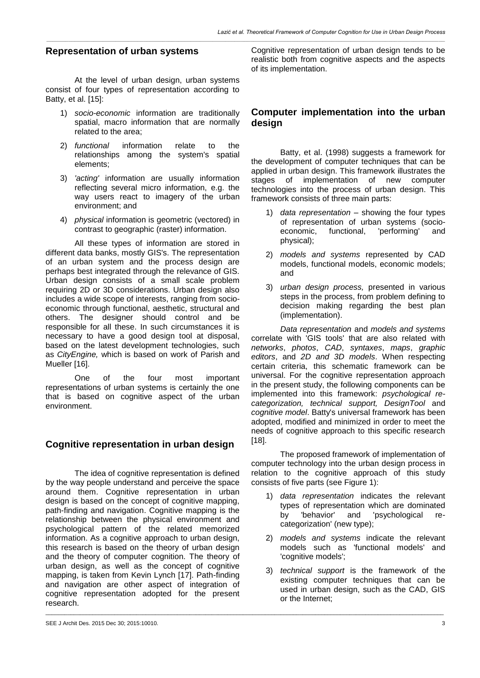*\_\_\_\_\_\_\_\_\_\_\_\_\_\_\_\_\_\_\_\_\_\_\_\_\_\_\_\_\_\_\_\_\_\_\_\_\_\_\_\_\_\_\_\_\_\_\_\_\_\_\_\_\_\_\_\_\_\_\_\_\_\_\_\_\_\_\_\_\_\_\_\_\_\_\_\_\_\_\_\_\_\_\_\_\_\_\_\_\_\_\_\_\_\_\_\_\_\_\_\_\_\_\_\_\_\_\_\_\_\_\_\_\_\_\_\_\_\_\_\_\_\_\_\_\_\_\_*

# **Representation of urban systems**

At the level of urban design, urban systems consist of four types of representation according to Batty, et al. [15]:

- 1) *socio-economic* information are traditionally spatial, macro information that are normally related to the area;
- 2) *functional* information relate to the relationships among the system's spatial elements;
- 3) *'acting'* information are usually information reflecting several micro information, e.g. the way users react to imagery of the urban environment; and
- 4) *physical* information is geometric (vectored) in contrast to geographic (raster) information.

All these types of information are stored in different data banks, mostly GIS's. The representation of an urban system and the process design are perhaps best integrated through the relevance of GIS. Urban design consists of a small scale problem requiring 2D or 3D considerations. Urban design also includes a wide scope of interests, ranging from socioeconomic through functional, aesthetic, structural and others. The designer should control and be responsible for all these. In such circumstances it is necessary to have a good design tool at disposal, based on the latest development technologies, such as *CityEngine,* which is based on work of Parish and Mueller [16].

One of the four most important representations of urban systems is certainly the one that is based on cognitive aspect of the urban environment.

# **Cognitive representation in urban design**

The idea of cognitive representation is defined by the way people understand and perceive the space around them. Cognitive representation in urban design is based on the concept of cognitive mapping, path-finding and navigation. Cognitive mapping is the relationship between the physical environment and psychological pattern of the related memorized information. As a cognitive approach to urban design, this research is based on the theory of urban design and the theory of computer cognition. The theory of urban design, as well as the concept of cognitive mapping, is taken from Kevin Lynch [17]. Path-finding and navigation are other aspect of integration of cognitive representation adopted for the present research.

\_\_\_\_\_\_\_\_\_\_\_\_\_\_\_\_\_\_\_\_\_\_\_\_\_\_\_\_\_\_\_\_\_\_\_\_\_\_\_\_\_\_\_\_\_\_\_\_\_\_\_\_\_\_\_\_\_\_\_\_\_\_\_\_\_\_\_\_\_\_\_\_\_\_\_\_\_\_\_\_\_\_\_\_\_\_\_\_\_\_\_\_\_\_\_\_\_\_\_\_\_\_\_\_\_\_\_\_\_\_\_\_\_\_\_\_\_\_\_\_\_\_\_\_\_\_\_

Cognitive representation of urban design tends to be realistic both from cognitive aspects and the aspects of its implementation.

# **Computer implementation into the urban design**

Batty, et al. (1998) suggests a framework for the development of computer techniques that can be applied in urban design. This framework illustrates the stages of implementation of new computer technologies into the process of urban design. This framework consists of three main parts:

- 1) *data representation* showing the four types of representation of urban systems (socioeconomic, functional, 'performing' and physical);
- 2) *models and systems* represented by CAD models, functional models, economic models; and
- 3) *urban design process,* presented in various steps in the process, from problem defining to decision making regarding the best plan (implementation).

*Data representation* and *models and systems* correlate with 'GIS tools' that are also related with *networks*, *photos*, *CAD*, *syntaxes*, *maps*, *graphic editors*, and *2D and 3D models*. When respecting certain criteria, this schematic framework can be universal. For the cognitive representation approach in the present study, the following components can be implemented into this framework: *psychological recategorization, technical support, DesignTool* and *cognitive model*. Batty's universal framework has been adopted, modified and minimized in order to meet the needs of cognitive approach to this specific research [18].

The proposed framework of implementation of computer technology into the urban design process in relation to the cognitive approach of this study consists of five parts (see Figure 1):

- 1) *data representation* indicates the relevant types of representation which are dominated by 'behavior' and 'psychological recategorization' (new type);
- 2) *models and systems* indicate the relevant models such as 'functional models' and 'cognitive models';
- 3) *technical support* is the framework of the existing computer techniques that can be used in urban design, such as the CAD, GIS or the Internet;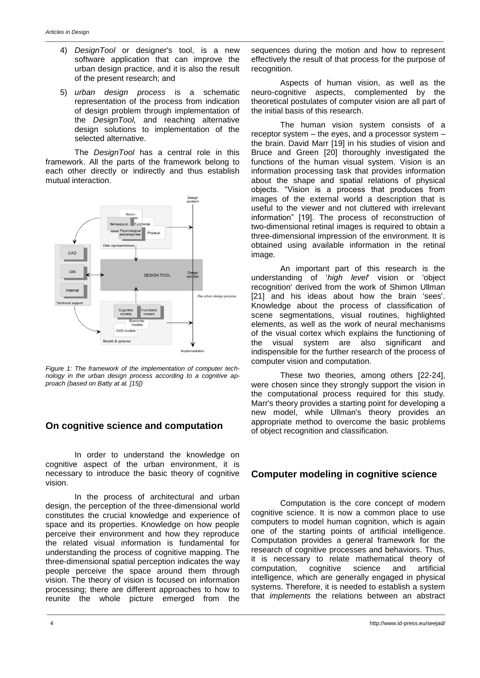4) *DesignTool* or designer's tool, is a new software application that can improve the urban design practice, and it is also the result of the present research; and

\_\_\_\_\_\_\_\_\_\_\_\_\_\_\_\_\_\_\_\_\_\_\_\_\_\_\_\_\_\_\_\_\_\_\_\_\_\_\_\_\_\_\_\_\_\_\_\_\_\_\_\_\_\_\_\_\_\_\_\_\_\_\_\_\_\_\_\_\_\_\_\_\_\_\_\_\_\_\_\_\_\_\_\_\_\_\_\_\_\_\_\_\_\_\_\_\_\_\_\_\_\_\_\_\_\_\_\_\_\_\_\_\_\_\_\_\_\_\_\_\_\_\_\_\_\_\_

5) *urban design process* is a schematic representation of the process from indication of design problem through implementation of the *DesignTool,* and reaching alternative design solutions to implementation of the selected alternative.

The *DesignTool* has a central role in this framework. All the parts of the framework belong to each other directly or indirectly and thus establish mutual interaction.



*Figure 1: The framework of the implementation of computer technology in the urban design process according to a cognitive approach (based on Batty at al. [15])*

# **On cognitive science and computation**

In order to understand the knowledge on cognitive aspect of the urban environment, it is necessary to introduce the basic theory of cognitive vision.

In the process of architectural and urban design, the perception of the three-dimensional world constitutes the crucial knowledge and experience of space and its properties. Knowledge on how people perceive their environment and how they reproduce the related visual information is fundamental for understanding the process of cognitive mapping. The three-dimensional spatial perception indicates the way people perceive the space around them through vision. The theory of vision is focused on information processing; there are different approaches to how to reunite the whole picture emerged from the

\_\_\_\_\_\_\_\_\_\_\_\_\_\_\_\_\_\_\_\_\_\_\_\_\_\_\_\_\_\_\_\_\_\_\_\_\_\_\_\_\_\_\_\_\_\_\_\_\_\_\_\_\_\_\_\_\_\_\_\_\_\_\_\_\_\_\_\_\_\_\_\_\_\_\_\_\_\_\_\_\_\_\_\_\_\_\_\_\_\_\_\_\_\_\_\_\_\_\_\_\_\_\_\_\_\_\_\_\_\_\_\_\_\_\_\_\_\_\_\_\_\_\_\_\_\_\_

sequences during the motion and how to represent effectively the result of that process for the purpose of recognition.

Aspects of human vision, as well as the neuro-cognitive aspects, complemented by the theoretical postulates of computer vision are all part of the initial basis of this research.

The human vision system consists of a receptor system – the eyes, and a processor system – the brain. David Marr [19] in his studies of vision and Bruce and Green [20] thoroughly investigated the functions of the human visual system. Vision is an information processing task that provides information about the shape and spatial relations of physical objects. "Vision is a process that produces from images of the external world a description that is useful to the viewer and not cluttered with irrelevant information" [19]. The process of reconstruction of two-dimensional retinal images is required to obtain a three-dimensional impression of the environment. It is obtained using available information in the retinal image.

An important part of this research is the understanding of '*high level*' vision or 'object recognition' derived from the work of Shimon Ullman [21] and his ideas about how the brain 'sees'. Knowledge about the process of classification of scene segmentations, visual routines, highlighted elements, as well as the work of neural mechanisms of the visual cortex which explains the functioning of the visual system are also significant and indispensible for the further research of the process of computer vision and computation.

These two theories, among others [22-24], were chosen since they strongly support the vision in the computational process required for this study. Marr's theory provides a starting point for developing a new model, while Ullman's theory provides an appropriate method to overcome the basic problems of object recognition and classification.

# **Computer modeling in cognitive science**

Computation is the core concept of modern cognitive science. It is now a common place to use computers to model human cognition, which is again one of the starting points of artificial intelligence. Computation provides a general framework for the research of cognitive processes and behaviors. Thus, it is necessary to relate mathematical theory of computation, cognitive science and artificial intelligence, which are generally engaged in physical systems. Therefore, it is needed to establish a system that *implements* the relations between an abstract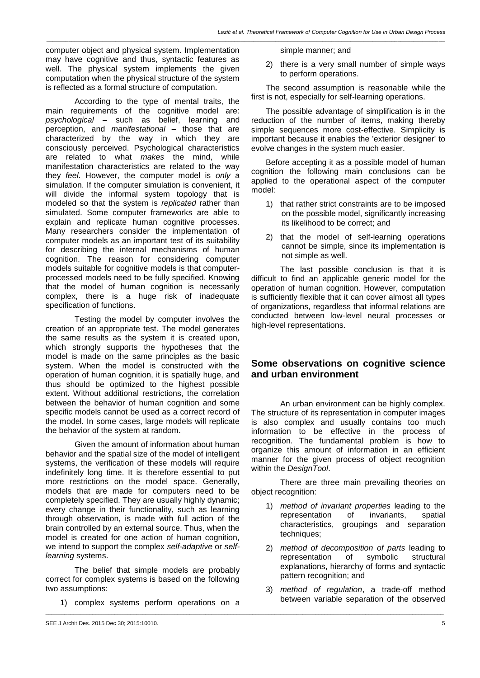computer object and physical system. Implementation may have cognitive and thus, syntactic features as well. The physical system implements the given computation when the physical structure of the system is reflected as a formal structure of computation.

According to the type of mental traits, the main requirements of the cognitive model are: *psychological* – such as belief, learning and perception, and *manifestational* – those that are characterized by the way in which they are consciously perceived. Psychological characteristics are related to what *makes* the mind, while manifestation characteristics are related to the way they *feel*. However, the computer model is *only* a simulation. If the computer simulation is convenient, it will divide the informal system topology that is modeled so that the system is *replicated* rather than simulated. Some computer frameworks are able to explain and replicate human cognitive processes. Many researchers consider the implementation of computer models as an important test of its suitability for describing the internal mechanisms of human cognition. The reason for considering computer models suitable for cognitive models is that computerprocessed models need to be fully specified. Knowing that the model of human cognition is necessarily complex, there is a huge risk of inadequate specification of functions.

Testing the model by computer involves the creation of an appropriate test. The model generates the same results as the system it is created upon, which strongly supports the hypotheses that the model is made on the same principles as the basic system. When the model is constructed with the operation of human cognition, it is spatially huge, and thus should be optimized to the highest possible extent. Without additional restrictions, the correlation between the behavior of human cognition and some specific models cannot be used as a correct record of the model. In some cases, large models will replicate the behavior of the system at random.

Given the amount of information about human behavior and the spatial size of the model of intelligent systems, the verification of these models will require indefinitely long time. It is therefore essential to put more restrictions on the model space. Generally, models that are made for computers need to be completely specified. They are usually highly dynamic; every change in their functionality, such as learning through observation, is made with full action of the brain controlled by an external source. Thus, when the model is created for one action of human cognition, we intend to support the complex *self-adaptive* or *selflearning* systems.

The belief that simple models are probably correct for complex systems is based on the following two assumptions:

1) complex systems perform operations on a

\_\_\_\_\_\_\_\_\_\_\_\_\_\_\_\_\_\_\_\_\_\_\_\_\_\_\_\_\_\_\_\_\_\_\_\_\_\_\_\_\_\_\_\_\_\_\_\_\_\_\_\_\_\_\_\_\_\_\_\_\_\_\_\_\_\_\_\_\_\_\_\_\_\_\_\_\_\_\_\_\_\_\_\_\_\_\_\_\_\_\_\_\_\_\_\_\_\_\_\_\_\_\_\_\_\_\_\_\_\_\_\_\_\_\_\_\_\_\_\_\_\_\_\_\_\_\_

simple manner; and

*\_\_\_\_\_\_\_\_\_\_\_\_\_\_\_\_\_\_\_\_\_\_\_\_\_\_\_\_\_\_\_\_\_\_\_\_\_\_\_\_\_\_\_\_\_\_\_\_\_\_\_\_\_\_\_\_\_\_\_\_\_\_\_\_\_\_\_\_\_\_\_\_\_\_\_\_\_\_\_\_\_\_\_\_\_\_\_\_\_\_\_\_\_\_\_\_\_\_\_\_\_\_\_\_\_\_\_\_\_\_\_\_\_\_\_\_\_\_\_\_\_\_\_\_\_\_\_*

2) there is a very small number of simple ways to perform operations.

The second assumption is reasonable while the first is not, especially for self-learning operations.

The possible advantage of simplification is in the reduction of the number of items, making thereby simple sequences more cost-effective. Simplicity is important because it enables the 'exterior designer' to evolve changes in the system much easier.

Before accepting it as a possible model of human cognition the following main conclusions can be applied to the operational aspect of the computer model:

- 1) that rather strict constraints are to be imposed on the possible model, significantly increasing its likelihood to be correct; and
- 2) that the model of self-learning operations cannot be simple, since its implementation is not simple as well.

The last possible conclusion is that it is difficult to find an applicable generic model for the operation of human cognition. However, computation is sufficiently flexible that it can cover almost all types of organizations, regardless that informal relations are conducted between low-level neural processes or high-level representations.

# **Some observations on cognitive science and urban environment**

An urban environment can be highly complex. The structure of its representation in computer images is also complex and usually contains too much information to be effective in the process of recognition. The fundamental problem is how to organize this amount of information in an efficient manner for the given process of object recognition within the *DesignTool*.

There are three main prevailing theories on object recognition:

- 1) *method of invariant properties* leading to the representation of invariants, spatial characteristics, groupings and separation techniques:
- 2) *method of decomposition of parts* leading to representation of symbolic structural explanations, hierarchy of forms and syntactic pattern recognition; and
- 3) *method of regulation*, a trade-off method between variable separation of the observed